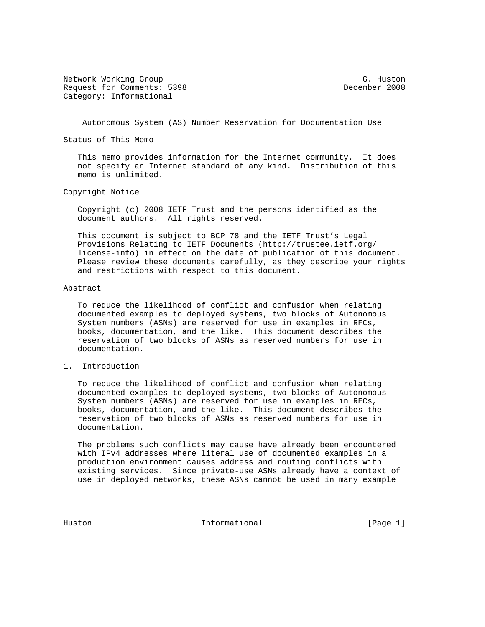Network Working Group G. Huston G. Huston Request for Comments: 5398 December 2008 Category: Informational

Autonomous System (AS) Number Reservation for Documentation Use

Status of This Memo

 This memo provides information for the Internet community. It does not specify an Internet standard of any kind. Distribution of this memo is unlimited.

Copyright Notice

 Copyright (c) 2008 IETF Trust and the persons identified as the document authors. All rights reserved.

 This document is subject to BCP 78 and the IETF Trust's Legal Provisions Relating to IETF Documents (http://trustee.ietf.org/ license-info) in effect on the date of publication of this document. Please review these documents carefully, as they describe your rights and restrictions with respect to this document.

## Abstract

 To reduce the likelihood of conflict and confusion when relating documented examples to deployed systems, two blocks of Autonomous System numbers (ASNs) are reserved for use in examples in RFCs, books, documentation, and the like. This document describes the reservation of two blocks of ASNs as reserved numbers for use in documentation.

## 1. Introduction

 To reduce the likelihood of conflict and confusion when relating documented examples to deployed systems, two blocks of Autonomous System numbers (ASNs) are reserved for use in examples in RFCs, books, documentation, and the like. This document describes the reservation of two blocks of ASNs as reserved numbers for use in documentation.

 The problems such conflicts may cause have already been encountered with IPv4 addresses where literal use of documented examples in a production environment causes address and routing conflicts with existing services. Since private-use ASNs already have a context of use in deployed networks, these ASNs cannot be used in many example

Huston **Informational Informational** [Page 1]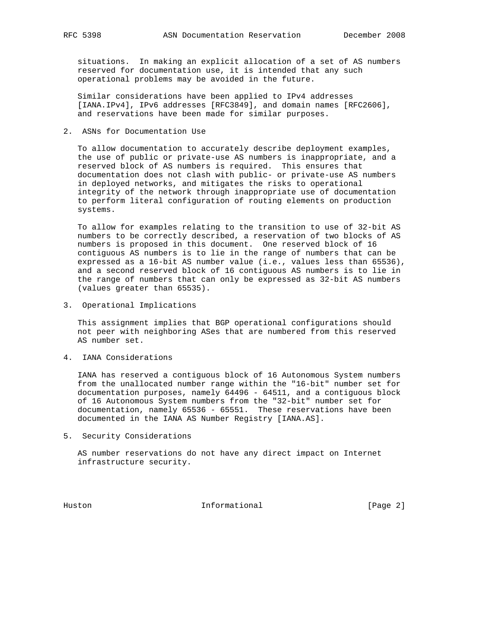situations. In making an explicit allocation of a set of AS numbers reserved for documentation use, it is intended that any such operational problems may be avoided in the future.

 Similar considerations have been applied to IPv4 addresses [IANA.IPv4], IPv6 addresses [RFC3849], and domain names [RFC2606], and reservations have been made for similar purposes.

2. ASNs for Documentation Use

 To allow documentation to accurately describe deployment examples, the use of public or private-use AS numbers is inappropriate, and a reserved block of AS numbers is required. This ensures that documentation does not clash with public- or private-use AS numbers in deployed networks, and mitigates the risks to operational integrity of the network through inappropriate use of documentation to perform literal configuration of routing elements on production systems.

 To allow for examples relating to the transition to use of 32-bit AS numbers to be correctly described, a reservation of two blocks of AS numbers is proposed in this document. One reserved block of 16 contiguous AS numbers is to lie in the range of numbers that can be expressed as a 16-bit AS number value (i.e., values less than 65536), and a second reserved block of 16 contiguous AS numbers is to lie in the range of numbers that can only be expressed as 32-bit AS numbers (values greater than 65535).

3. Operational Implications

 This assignment implies that BGP operational configurations should not peer with neighboring ASes that are numbered from this reserved AS number set.

4. IANA Considerations

 IANA has reserved a contiguous block of 16 Autonomous System numbers from the unallocated number range within the "16-bit" number set for documentation purposes, namely 64496 - 64511, and a contiguous block of 16 Autonomous System numbers from the "32-bit" number set for documentation, namely 65536 - 65551. These reservations have been documented in the IANA AS Number Registry [IANA.AS].

5. Security Considerations

 AS number reservations do not have any direct impact on Internet infrastructure security.

Huston **Informational Informational** [Page 2]